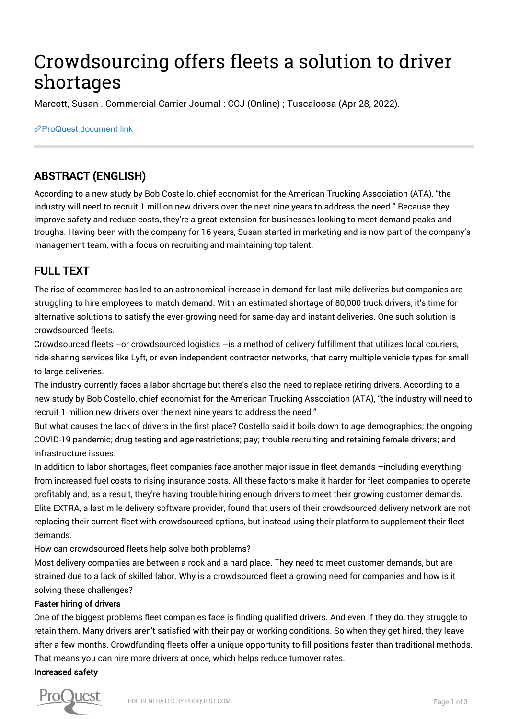# Crowdsourcing offers fleets a solution to driver shortages

Marcott, Susan . Commercial Carrier Journal : CCJ (Online) ; Tuscaloosa (Apr 28, 2022).

[ProQuest document link](https://www.proquest.com/magazines/crowdsourcing-offers-fleets-solution-driver/docview/2656418457/se-2?accountid=44910)

## ABSTRACT (ENGLISH)

According to a new study by Bob Costello, chief economist for the American Trucking Association (ATA), "the industry will need to recruit 1 million new drivers over the next nine years to address the need." Because they improve safety and reduce costs, they're a great extension for businesses looking to meet demand peaks and troughs. Having been with the company for 16 years, Susan started in marketing and is now part of the company's management team, with a focus on recruiting and maintaining top talent.

## FULL TEXT

The rise of ecommerce has led to an astronomical increase in demand for last mile deliveries but companies are struggling to hire employees to match demand. With an estimated shortage of 80,000 truck drivers, it's time for alternative solutions to satisfy the ever-growing need for same-day and instant deliveries. One such solution is crowdsourced fleets.

Crowdsourced fleets –or crowdsourced logistics –is a method of delivery fulfillment that utilizes local couriers, ride-sharing services like Lyft, or even independent contractor networks, that carry multiple vehicle types for small to large deliveries.

The industry currently faces a labor shortage but there's also the need to replace retiring drivers. According to a new study by Bob Costello, chief economist for the American Trucking Association (ATA), "the industry will need to recruit 1 million new drivers over the next nine years to address the need."

But what causes the lack of drivers in the first place? Costello said it boils down to age demographics; the ongoing COVID-19 pandemic; drug testing and age restrictions; pay; trouble recruiting and retaining female drivers; and infrastructure issues.

In addition to labor shortages, fleet companies face another major issue in fleet demands –including everything from increased fuel costs to rising insurance costs. All these factors make it harder for fleet companies to operate profitably and, as a result, they're having trouble hiring enough drivers to meet their growing customer demands. Elite EXTRA, a last mile delivery software provider, found that users of their crowdsourced delivery network are not replacing their current fleet with crowdsourced options, but instead using their platform to supplement their fleet demands.

How can crowdsourced fleets help solve both problems?

Most delivery companies are between a rock and a hard place. They need to meet customer demands, but are strained due to a lack of skilled labor. Why is a crowdsourced fleet a growing need for companies and how is it solving these challenges?

#### Faster hiring of drivers

One of the biggest problems fleet companies face is finding qualified drivers. And even if they do, they struggle to retain them. Many drivers aren't satisfied with their pay or working conditions. So when they get hired, they leave after a few months. Crowdfunding fleets offer a unique opportunity to fill positions faster than traditional methods. That means you can hire more drivers at once, which helps reduce turnover rates.

#### Increased safety

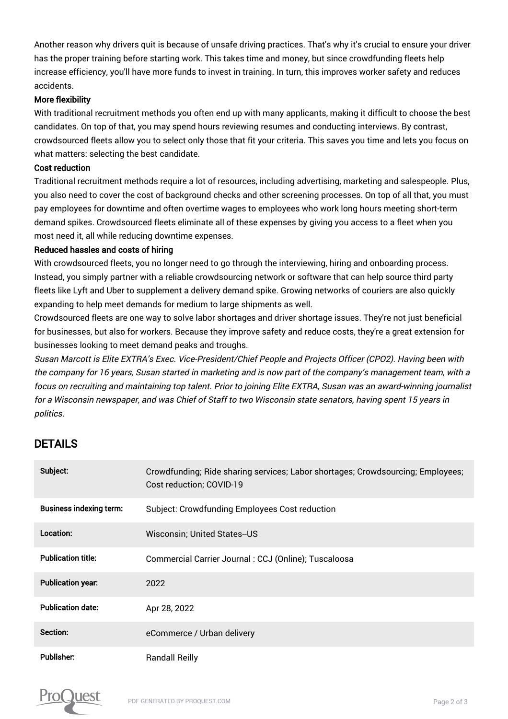Another reason why drivers quit is because of unsafe driving practices. That's why it's crucial to ensure your driver has the proper training before starting work. This takes time and money, but since crowdfunding fleets help increase efficiency, you'll have more funds to invest in training. In turn, this improves worker safety and reduces accidents.

#### More flexibility

With traditional recruitment methods you often end up with many applicants, making it difficult to choose the best candidates. On top of that, you may spend hours reviewing resumes and conducting interviews. By contrast, crowdsourced fleets allow you to select only those that fit your criteria. This saves you time and lets you focus on what matters: selecting the best candidate.

#### Cost reduction

Traditional recruitment methods require a lot of resources, including advertising, marketing and salespeople. Plus, you also need to cover the cost of background checks and other screening processes. On top of all that, you must pay employees for downtime and often overtime wages to employees who work long hours meeting short-term demand spikes. Crowdsourced fleets eliminate all of these expenses by giving you access to a fleet when you most need it, all while reducing downtime expenses.

#### Reduced hassles and costs of hiring

With crowdsourced fleets, you no longer need to go through the interviewing, hiring and onboarding process. Instead, you simply partner with a reliable crowdsourcing network or software that can help source third party fleets like Lyft and Uber to supplement a delivery demand spike. Growing networks of couriers are also quickly expanding to help meet demands for medium to large shipments as well.

Crowdsourced fleets are one way to solve labor shortages and driver shortage issues. They're not just beneficial for businesses, but also for workers. Because they improve safety and reduce costs, they're a great extension for businesses looking to meet demand peaks and troughs.

Susan Marcott is Elite EXTRA's Exec. Vice-President/Chief People and Projects Officer (CPO2). Having been with the company for 16 years, Susan started in marketing and is now part of the company's management team, with a focus on recruiting and maintaining top talent. Prior to joining Elite EXTRA, Susan was an award-winning journalist for a Wisconsin newspaper, and was Chief of Staff to two Wisconsin state senators, having spent 15 years in politics.

### DETAILS

| Subject:                       | Crowdfunding; Ride sharing services; Labor shortages; Crowdsourcing; Employees;<br>Cost reduction; COVID-19 |
|--------------------------------|-------------------------------------------------------------------------------------------------------------|
| <b>Business indexing term:</b> | Subject: Crowdfunding Employees Cost reduction                                                              |
| Location:                      | Wisconsin; United States--US                                                                                |
| <b>Publication title:</b>      | Commercial Carrier Journal: CCJ (Online); Tuscaloosa                                                        |
| <b>Publication year:</b>       | 2022                                                                                                        |
| <b>Publication date:</b>       | Apr 28, 2022                                                                                                |
| Section:                       | eCommerce / Urban delivery                                                                                  |
| <b>Publisher:</b>              | <b>Randall Reilly</b>                                                                                       |